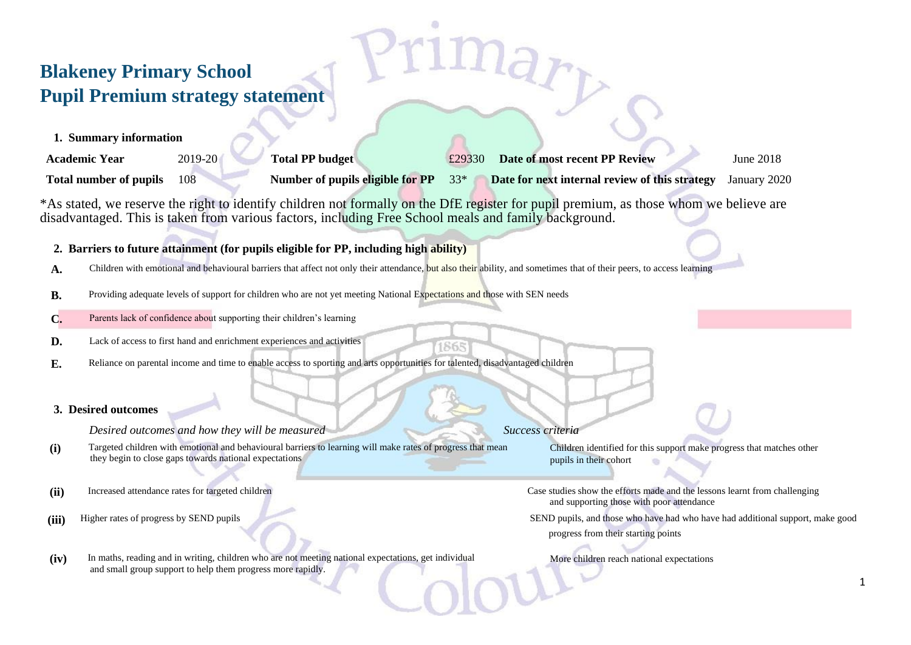## **Blakeney Primary School Pupil Premium strategy statement**

|  | 1. Summary information |  |  |
|--|------------------------|--|--|
|--|------------------------|--|--|

| <b>Academic Year</b>          | 2019-20 | <b>Total PP budget</b>           | Date of most recent PP Review<br>£29330        | June 2018    |
|-------------------------------|---------|----------------------------------|------------------------------------------------|--------------|
| <b>Total number of pupils</b> |         | Number of pupils eligible for PP | Date for next internal review of this strategy | January 2020 |

\*As stated, we reserve the right to identify children not formally on the DfE register for pupil premium, as those whom we believe are disadvantaged. This is taken from various factors, including Free School meals and family background.

1865

## **2. Barriers to future attainment (for pupils eligible for PP, including high ability)**

- **A.** Children with emotional and behavioural barriers that affect not only their attendance, but also their ability, and sometimes that of their peers, to access learning
- **B.** Providing adequate levels of support for children who are not yet meeting National Expectations and those with SEN needs
- **C.** Parents lack of confidence about supporting their children's learning
- **D.** Lack of access to first hand and enrichment experiences and activities
- **E.** Reliance on parental income and time to enable access to sporting and arts opportunities for talented, disadvantaged children

## **3. Desired outcomes**

**Desired outcomes and how they will be measured Success criteria** Success criteria

- **(i)** Targeted children with emotional and behavioural barriers to learning will make rates of progress that mean they begin to close gaps towards national expectations
- 
- 

Children identified for this support make progress that matches other pupils in their cohort

(ii) Increased attendance rates for targeted children Case studies show the efforts made and the lessons learnt from challenging and supporting those with poor attendance

(iii) Higher rates of progress by SEND pupils SEND pupils SEND pupils, and those who have had who have had additional support, make good progress from their starting points

**(iv)** In maths, reading and in writing, children who are not meeting national expectations, get individual and small group support to help them progress more rapidly.

More children reach national expectations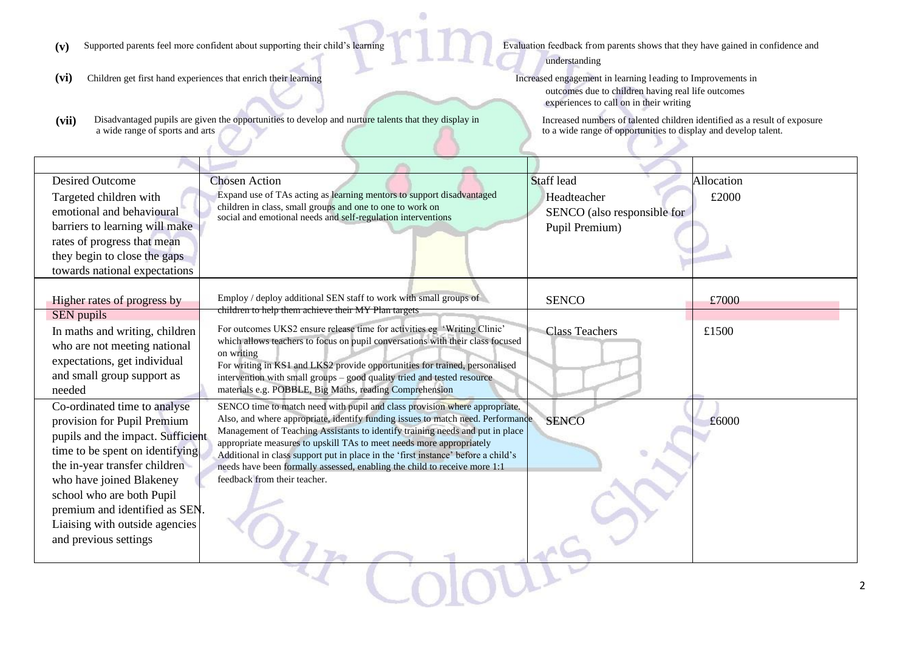- (v) Supported parents feel more confident about supporting their child's learning Evaluation feedback from parents shows that they have gained in confidence and
- (vi) Children get first hand experiences that enrich their learning Increased engagement in learning leading to Improvements in
- (vii) Disadvantaged pupils are given the opportunities to develop and nurture talents that they display in a wide range of sports and arts

understanding

outcomes due to children having real life outcomes experiences to call on in their writing

Increased numbers of talented children identified as a result of exposure to a wide range of opportunities to display and develop talent.

| <b>Desired Outcome</b>            | <b>Chosen Action</b>                                                                                                                                  | <b>Staff</b> lead           | Allocation |
|-----------------------------------|-------------------------------------------------------------------------------------------------------------------------------------------------------|-----------------------------|------------|
| Targeted children with            | Expand use of TAs acting as learning mentors to support disadvantaged                                                                                 | Headteacher                 | £2000      |
| emotional and behavioural         | children in class, small groups and one to one to work on<br>social and emotional needs and self-regulation interventions                             | SENCO (also responsible for |            |
| barriers to learning will make    |                                                                                                                                                       | Pupil Premium)              |            |
| rates of progress that mean       |                                                                                                                                                       |                             |            |
| they begin to close the gaps      |                                                                                                                                                       |                             |            |
| towards national expectations     |                                                                                                                                                       |                             |            |
|                                   |                                                                                                                                                       |                             |            |
| Higher rates of progress by       | Employ / deploy additional SEN staff to work with small groups of                                                                                     | <b>SENCO</b>                | £7000      |
| SEN pupils                        | children to help them achieve their MY Plan targets                                                                                                   |                             |            |
| In maths and writing, children    | For outcomes UKS2 ensure release time for activities eg 'Writing Clinic'                                                                              | <b>Class Teachers</b>       | £1500      |
| who are not meeting national      | which allows teachers to focus on pupil conversations with their class focused<br>on writing                                                          |                             |            |
| expectations, get individual      | For writing in KS1 and LKS2 provide opportunities for trained, personalised                                                                           |                             |            |
| and small group support as        | intervention with small groups - good quality tried and tested resource                                                                               |                             |            |
| needed                            | materials e.g. POBBLE, Big Maths, reading Comprehension                                                                                               |                             |            |
| Co-ordinated time to analyse      | SENCO time to match need with pupil and class provision where appropriate.                                                                            |                             |            |
| provision for Pupil Premium       | Also, and where appropriate, identify funding issues to match need. Performance                                                                       | <b>SENCO</b>                | £6000      |
| pupils and the impact. Sufficient | Management of Teaching Assistants to identify training needs and put in place<br>appropriate measures to upskill TAs to meet needs more appropriately |                             |            |
| time to be spent on identifying   | Additional in class support put in place in the 'first instance' before a child's                                                                     |                             |            |
| the in-year transfer children     | needs have been formally assessed, enabling the child to receive more 1:1                                                                             |                             |            |
| who have joined Blakeney          | feedback from their teacher.                                                                                                                          |                             |            |
| school who are both Pupil         |                                                                                                                                                       |                             |            |
| premium and identified as SEN     |                                                                                                                                                       |                             |            |
| Liaising with outside agencies    |                                                                                                                                                       |                             |            |
| and previous settings             |                                                                                                                                                       |                             |            |
|                                   |                                                                                                                                                       |                             |            |
|                                   |                                                                                                                                                       |                             |            |
|                                   |                                                                                                                                                       |                             |            |
|                                   |                                                                                                                                                       |                             |            |

a